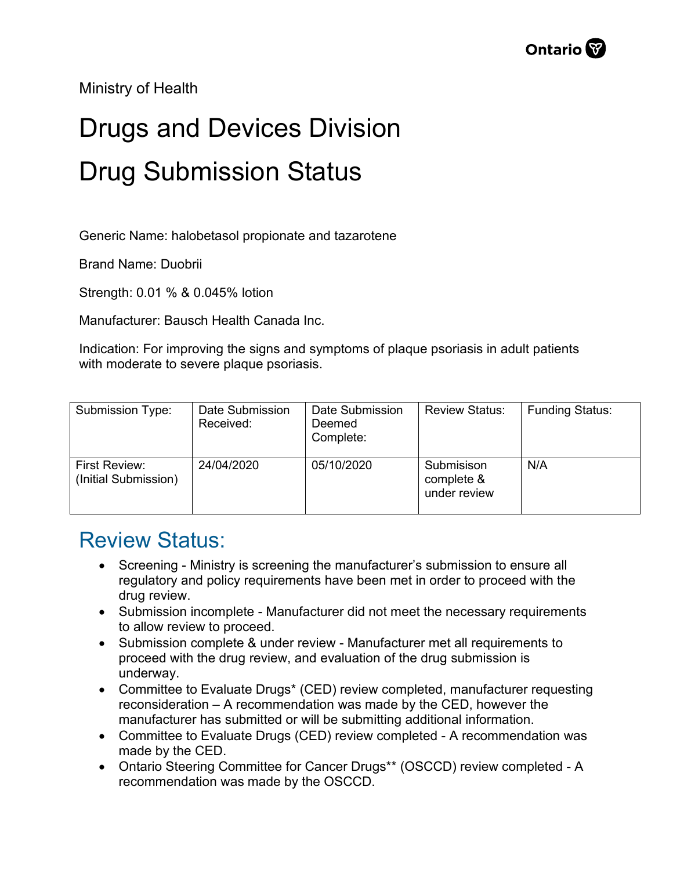Ministry of Health

## Drugs and Devices Division Drug Submission Status

Generic Name: halobetasol propionate and tazarotene

Brand Name: Duobrii

Strength: 0.01 % & 0.045% lotion

Manufacturer: Bausch Health Canada Inc.

Indication: For improving the signs and symptoms of plaque psoriasis in adult patients with moderate to severe plaque psoriasis.

| Submission Type:                      | Date Submission<br>Received: | Date Submission<br>Deemed<br>Complete: | <b>Review Status:</b>                    | <b>Funding Status:</b> |
|---------------------------------------|------------------------------|----------------------------------------|------------------------------------------|------------------------|
| First Review:<br>(Initial Submission) | 24/04/2020                   | 05/10/2020                             | Submisison<br>complete &<br>under review | N/A                    |

## Review Status:

- Screening Ministry is screening the manufacturer's submission to ensure all regulatory and policy requirements have been met in order to proceed with the drug review.
- Submission incomplete Manufacturer did not meet the necessary requirements to allow review to proceed.
- Submission complete & under review Manufacturer met all requirements to proceed with the drug review, and evaluation of the drug submission is underway.
- Committee to Evaluate Drugs\* (CED) review completed, manufacturer requesting reconsideration – A recommendation was made by the CED, however the manufacturer has submitted or will be submitting additional information.
- Committee to Evaluate Drugs (CED) review completed A recommendation was made by the CED.
- Ontario Steering Committee for Cancer Drugs\*\* (OSCCD) review completed A recommendation was made by the OSCCD.